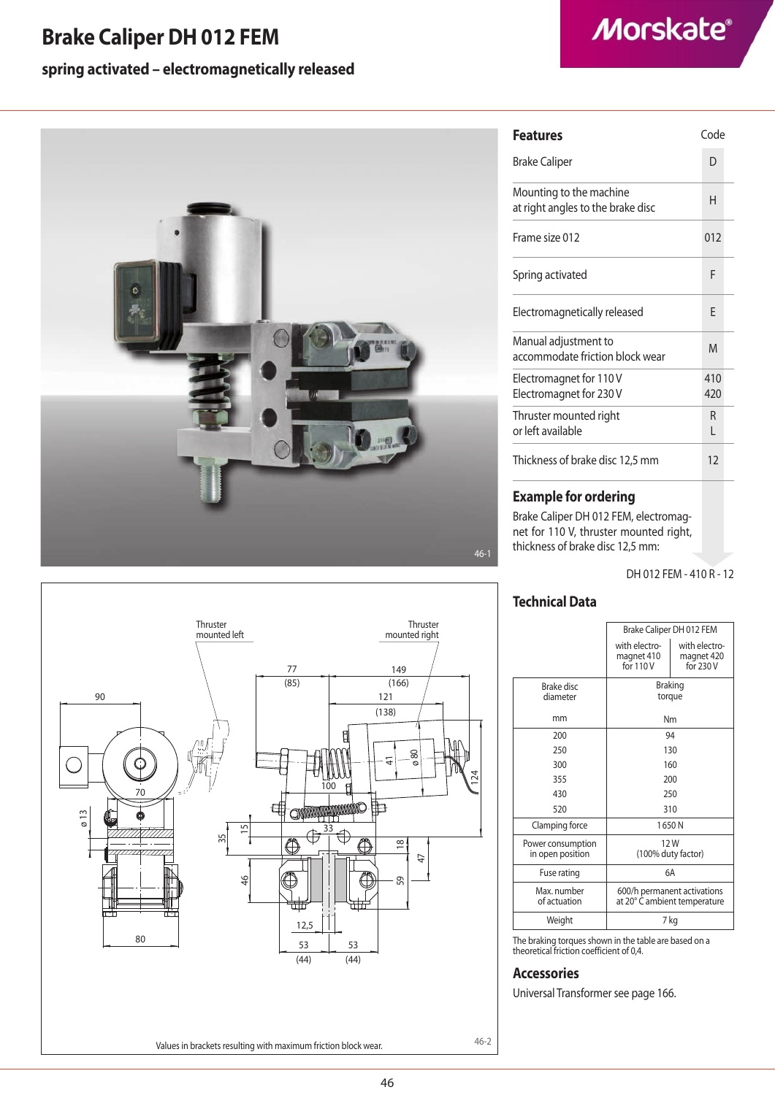# **Brake Caliper DH 012 FEM**

## **spring activated – electromagnetically released**







| D<br><b>Brake Caliper</b><br>Mounting to the machine<br>н<br>at right angles to the brake disc<br>Frame size 012<br>012<br>F<br>Spring activated<br>Electromagnetically released<br>F<br>Manual adjustment to<br>M<br>accommodate friction block wear<br>410<br>Electromagnet for 110V |  |
|----------------------------------------------------------------------------------------------------------------------------------------------------------------------------------------------------------------------------------------------------------------------------------------|--|
|                                                                                                                                                                                                                                                                                        |  |
|                                                                                                                                                                                                                                                                                        |  |
|                                                                                                                                                                                                                                                                                        |  |
|                                                                                                                                                                                                                                                                                        |  |
|                                                                                                                                                                                                                                                                                        |  |
|                                                                                                                                                                                                                                                                                        |  |
| Electromagnet for 230 V<br>420                                                                                                                                                                                                                                                         |  |
| Thruster mounted right<br>R<br>or left available<br>L                                                                                                                                                                                                                                  |  |
| Thickness of brake disc 12,5 mm<br>12                                                                                                                                                                                                                                                  |  |

### **Example for ordering**

Brake Caliper DH 012 FEM, electromagnet for 110 V, thruster mounted right, thickness of brake disc 12,5 mm:

DH 012 FEM - 410 R - 12

### **Technical Data**

|                                       | Brake Caliper DH 012 FEM                                    |                                          |
|---------------------------------------|-------------------------------------------------------------|------------------------------------------|
|                                       | with electro-<br>magnet 410<br>for 110 V                    | with electro-<br>magnet 420<br>for 230 V |
| Brake disc<br>diameter                | Braking<br>torque                                           |                                          |
| mm                                    | Nm                                                          |                                          |
| 200                                   | 94                                                          |                                          |
| 250                                   | 130                                                         |                                          |
| 300                                   | 160                                                         |                                          |
| 355                                   | 200                                                         |                                          |
| 430                                   | 250                                                         |                                          |
| 520                                   | 310                                                         |                                          |
| Clamping force                        | 1650N                                                       |                                          |
| Power consumption<br>in open position | 12W<br>(100% duty factor)                                   |                                          |
| Fuse rating                           | 6A                                                          |                                          |
| Max. number<br>of actuation           | 600/h permanent activations<br>at 20° C ambient temperature |                                          |
| Weight                                | 7 kg                                                        |                                          |

The braking torques shown in the table are based on a theoretical friction coefficient of 0,4.

### **Accessories**

Universal Transformer see page 166.